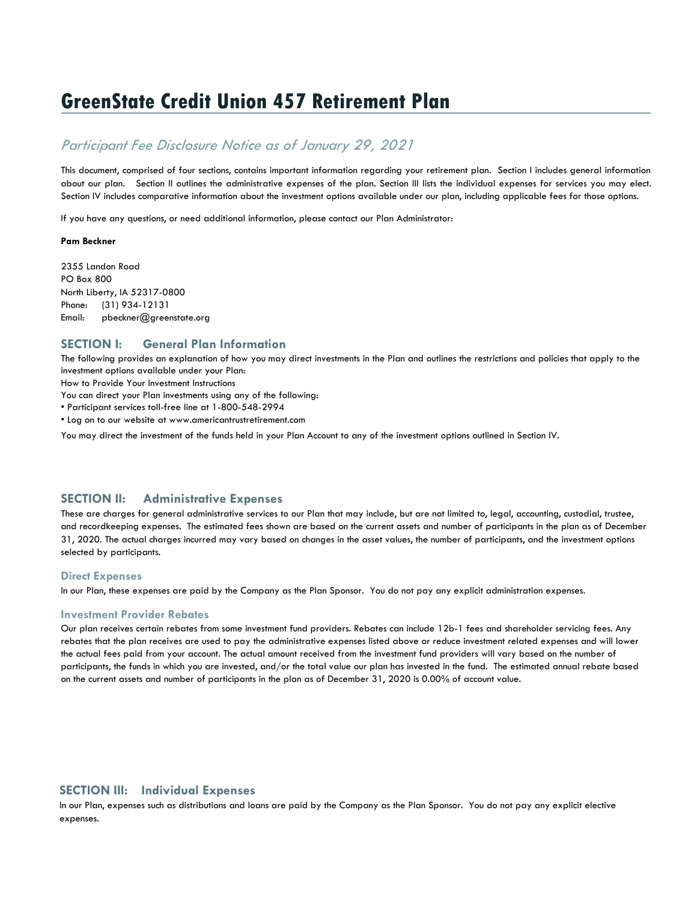# **GreenState Credit Union 457 Retirement Plan**

## *Participant Fee Disclosure Notice as of January 29, 2021*

This document, comprised of four sections, contains important information regarding your retirement plan. Section I includes general information about our plan. Section II outlines the administrative expenses of the plan. Section III lists the individual expenses for services you may elect. Section IV includes comparative information about the investment options available under our plan, including applicable fees for those options.

If you have any questions, or need additional information, please contact our Plan Administrator:

#### **Pam Beckner**

2355 Landon Road PO Box 800 North Liberty, IA 52317-0800 Phone: (31) 934-12131 Email: pbeckner@greenstate.org

## **SECTION I: General Plan Information**

The following provides an explanation of how you may direct investments in the Plan and outlines the restrictions and policies that apply to the investment options available under your Plan:

How to Provide Your Investment Instructions

You can direct your Plan investments using any of the following:

• Participant services toll-free line at 1-800-548-2994

• Log on to our website at www.americantrustretirement.com

You may direct the investment of the funds held in your Plan Account to any of the investment options outlined in Section IV.

## **SECTION II: Administrative Expenses**

These are charges for general administrative services to our Plan that may include, but are not limited to, legal, accounting, custodial, trustee, and recordkeeping expenses. The estimated fees shown are based on the current assets and number of participants in the plan as of December 31, 2020. The actual charges incurred may vary based on changes in the asset values, the number of participants, and the investment options selected by participants.

## **Direct Expenses**

In our Plan, these expenses are paid by the Company as the Plan Sponsor. You do not pay any explicit administration expenses.

### **Investment Provider Rebates**

Our plan receives certain rebates from some investment fund providers. Rebates can include 12b-1 fees and shareholder servicing fees. Any rebates that the plan receives are used to pay the administrative expenses listed above or reduce investment related expenses and will lower the actual fees paid from your account. The actual amount received from the investment fund providers will vary based on the number of participants, the funds in which you are invested, and/or the total value our plan has invested in the fund. The estimated annual rebate based on the current assets and number of participants in the plan as of December 31, 2020 is 0.00% of account value.

## **SECTION III: Individual Expenses**

In our Plan, expenses such as distributions and loans are paid by the Company as the Plan Sponsor. You do not pay any explicit elective expenses.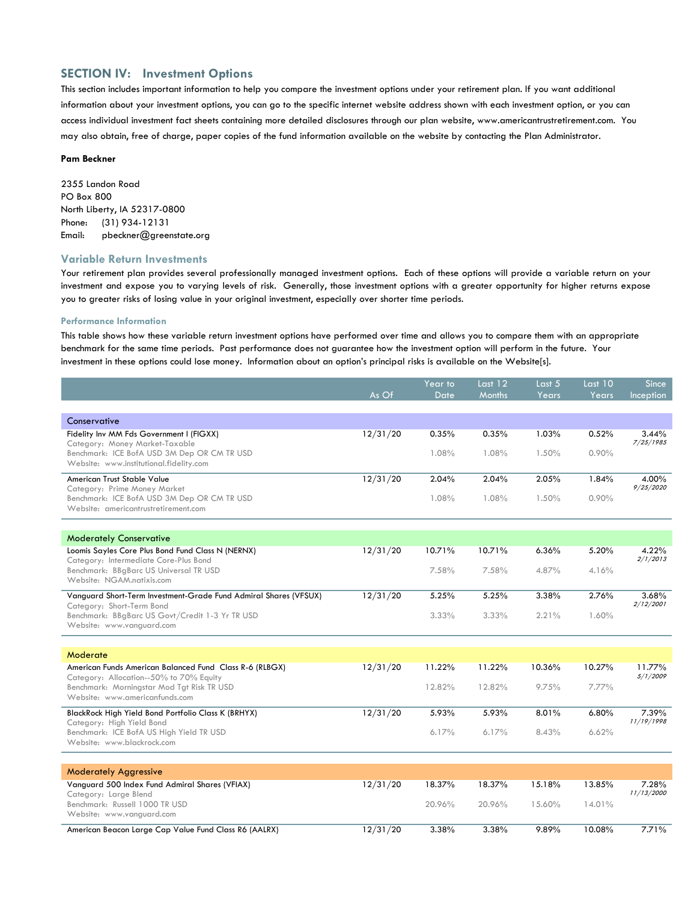## **SECTION IV: Investment Options**

This section includes important information to help you compare the investment options under your retirement plan. If you want additional information about your investment options, you can go to the specific internet website address shown with each investment option, or you can access individual investment fact sheets containing more detailed disclosures through our plan website, www.americantrustretirement.com. You may also obtain, free of charge, paper copies of the fund information available on the website by contacting the Plan Administrator.

#### **Pam Beckner**

2355 Landon Road PO Box 800 North Liberty, IA 52317-0800 Phone: (31) 934-12131 Email: pbeckner@greenstate.org

### **Variable Return Investments**

Your retirement plan provides several professionally managed investment options. Each of these options will provide a variable return on your investment and expose you to varying levels of risk. Generally, those investment options with a greater opportunity for higher returns expose you to greater risks of losing value in your original investment, especially over shorter time periods.

#### **Performance Information**

This table shows how these variable return investment options have performed over time and allows you to compare them with an appropriate benchmark for the same time periods. Past performance does not guarantee how the investment option will perform in the future. Your investment in these options could lose money. Information about an option's principal risks is available on the Website[s].

|                                                                                                     |          | Year to | Last $12$     | Last 5 | Last 10 | <b>Since</b>        |
|-----------------------------------------------------------------------------------------------------|----------|---------|---------------|--------|---------|---------------------|
|                                                                                                     | As Of    | Date    | <b>Months</b> | Years  | Years   | Inception           |
|                                                                                                     |          |         |               |        |         |                     |
| Conservative<br>Fidelity Inv MM Fds Government I (FIGXX)<br>Category: Money Market-Taxable          | 12/31/20 | 0.35%   | 0.35%         | 1.03%  | 0.52%   | 3.44%<br>7/25/1985  |
| Benchmark: ICE BofA USD 3M Dep OR CM TR USD<br>Website: www.institutional.fidelity.com              |          | 1.08%   | 1.08%         | 1.50%  | 0.90%   |                     |
| American Trust Stable Value<br>Category: Prime Money Market                                         | 12/31/20 | 2.04%   | 2.04%         | 2.05%  | 1.84%   | 4.00%<br>9/25/2020  |
| Benchmark: ICE BofA USD 3M Dep OR CM TR USD<br>Website: americantrustretirement.com                 |          | 1.08%   | 1.08%         | 1.50%  | 0.90%   |                     |
|                                                                                                     |          |         |               |        |         |                     |
| <b>Moderately Conservative</b>                                                                      |          |         |               |        |         |                     |
| Loomis Sayles Core Plus Bond Fund Class N (NERNX)<br>Category: Intermediate Core-Plus Bond          | 12/31/20 | 10.71%  | 10.71%        | 6.36%  | 5.20%   | 4.22%<br>2/1/2013   |
| Benchmark: BBgBarc US Universal TR USD<br>Website: NGAM.natixis.com                                 |          | 7.58%   | 7.58%         | 4.87%  | 4.16%   |                     |
| Vanguard Short-Term Investment-Grade Fund Admiral Shares (VFSUX)<br>Category: Short-Term Bond       | 12/31/20 | 5.25%   | 5.25%         | 3.38%  | 2.76%   | 3.68%<br>2/12/2001  |
| Benchmark: BBgBarc US Govt/Credit 1-3 Yr TR USD<br>Website: www.vanguard.com                        |          | 3.33%   | 3.33%         | 2.21%  | 1.60%   |                     |
|                                                                                                     |          |         |               |        |         |                     |
| Moderate                                                                                            |          |         |               |        |         |                     |
| American Funds American Balanced Fund Class R-6 (RLBGX)<br>Category: Allocation--50% to 70% Equity  | 12/31/20 | 11.22%  | 11.22%        | 10.36% | 10.27%  | 11.77%<br>5/1/2009  |
| Benchmark: Morningstar Mod Tgt Risk TR USD<br>Website: www.americanfunds.com                        |          | 12.82%  | 12.82%        | 9.75%  | 7.77%   |                     |
| BlackRock High Yield Bond Portfolio Class K (BRHYX)                                                 | 12/31/20 | 5.93%   | 5.93%         | 8.01%  | 6.80%   | 7.39%<br>11/19/1998 |
| Category: High Yield Bond<br>Benchmark: ICE BofA US High Yield TR USD<br>Website: www.blackrock.com |          | 6.17%   | 6.17%         | 8.43%  | 6.62%   |                     |
|                                                                                                     |          |         |               |        |         |                     |
| <b>Moderately Aggressive</b>                                                                        |          |         |               |        |         |                     |
| Vanguard 500 Index Fund Admiral Shares (VFIAX)<br>Category: Large Blend                             | 12/31/20 | 18.37%  | 18.37%        | 15.18% | 13.85%  | 7.28%<br>11/13/2000 |
| Benchmark: Russell 1000 TR USD<br>Website: www.vanguard.com                                         |          | 20.96%  | 20.96%        | 15.60% | 14.01%  |                     |
| American Beacon Large Cap Value Fund Class R6 (AALRX)                                               | 12/31/20 | 3.38%   | 3.38%         | 9.89%  | 10.08%  | 7.71%               |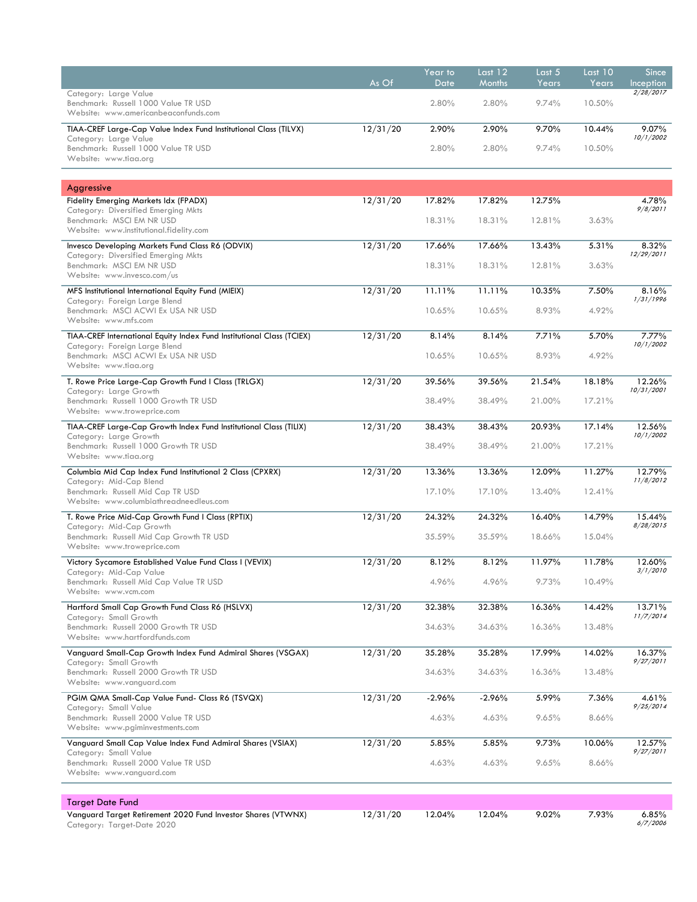|                                                                                                             | As Of    | Year to<br>Date | Last 12<br>Months | Last 5<br>Years | Last 10<br>Years | <b>Since</b><br><b>Inception</b> |
|-------------------------------------------------------------------------------------------------------------|----------|-----------------|-------------------|-----------------|------------------|----------------------------------|
| Category: Large Value<br>Benchmark: Russell 1000 Value TR USD<br>Website: www.americanbeaconfunds.com       |          | 2.80%           | 2.80%             | 9.74%           | 10.50%           | 2/28/2017                        |
| TIAA-CREF Large-Cap Value Index Fund Institutional Class (TILVX)                                            | 12/31/20 | 2.90%           | 2.90%             | 9.70%           | 10.44%           | 9.07%<br>10/1/2002               |
| Category: Large Value<br>Benchmark: Russell 1000 Value TR USD<br>Website: www.tiaa.org                      |          | 2.80%           | 2.80%             | 9.74%           | 10.50%           |                                  |
|                                                                                                             |          |                 |                   |                 |                  |                                  |
| Aggressive<br><b>Fidelity Emerging Markets Idx (FPADX)</b>                                                  | 12/31/20 | 17.82%          | 17.82%            | 12.75%          |                  | 4.78%                            |
| Category: Diversified Emerging Mkts<br>Benchmark: MSCI EM NR USD<br>Website: www.institutional.fidelity.com |          | 18.31%          | 18.31%            | 12.81%          | 3.63%            | 9/8/2011                         |
| Invesco Developing Markets Fund Class R6 (ODVIX)<br>Category: Diversified Emerging Mkts                     | 12/31/20 | 17.66%          | 17.66%            | 13.43%          | 5.31%            | 8.32%<br>12/29/2011              |
| Benchmark: MSCI EM NR USD<br>Website: www.invesco.com/us                                                    |          | 18.31%          | 18.31%            | 12.81%          | 3.63%            |                                  |
| MFS Institutional International Equity Fund (MIEIX)<br>Category: Foreign Large Blend                        | 12/31/20 | 11.11%          | 11.11%            | 10.35%          | 7.50%            | 8.16%<br>1/31/1996               |
| Benchmark: MSCI ACWI Ex USA NR USD<br>Website: www.mfs.com                                                  |          | 10.65%          | 10.65%            | 8.93%           | 4.92%            |                                  |
| TIAA-CREF International Equity Index Fund Institutional Class (TCIEX)<br>Category: Foreign Large Blend      | 12/31/20 | 8.14%           | 8.14%             | 7.71%           | 5.70%            | 7.77%<br>10/1/2002               |
| Benchmark: MSCI ACWI Ex USA NR USD<br>Website: www.tiaa.org                                                 |          | 10.65%          | 10.65%            | 8.93%           | 4.92%            |                                  |
| T. Rowe Price Large-Cap Growth Fund I Class (TRLGX)<br>Category: Large Growth                               | 12/31/20 | 39.56%          | 39.56%            | 21.54%          | 18.18%           | 12.26%<br>10/31/2001             |
| Benchmark: Russell 1000 Growth TR USD<br>Website: www.troweprice.com                                        |          | 38.49%          | 38.49%            | 21.00%          | 17.21%           |                                  |
| TIAA-CREF Large-Cap Growth Index Fund Institutional Class (TILIX)<br>Category: Large Growth                 | 12/31/20 | 38.43%          | 38.43%            | 20.93%          | 17.14%           | 12.56%<br>10/1/2002              |
| Benchmark: Russell 1000 Growth TR USD<br>Website: www.tiaa.org                                              |          | 38.49%          | 38.49%            | 21.00%          | 17.21%           |                                  |
| Columbia Mid Cap Index Fund Institutional 2 Class (CPXRX)<br>Category: Mid-Cap Blend                        | 12/31/20 | 13.36%          | 13.36%            | 12.09%          | 11.27%           | 12.79%<br>11/8/2012              |
| Benchmark: Russell Mid Cap TR USD<br>Website: www.columbiathreadneedleus.com                                |          | 17.10%          | 17.10%            | 13.40%          | 12.41%           |                                  |
| T. Rowe Price Mid-Cap Growth Fund I Class (RPTIX)<br>Category: Mid-Cap Growth                               | 12/31/20 | 24.32%          | 24.32%            | 16.40%          | 14.79%           | 15.44%<br>8/28/2015              |
| Benchmark: Russell Mid Cap Growth TR USD<br>Website: www.troweprice.com                                     |          | 35.59%          | 35.59%            | 18.66%          | 15.04%           |                                  |
| Victory Sycamore Established Value Fund Class I (VEVIX)<br>Category: Mid-Cap Value                          | 12/31/20 | 8.12%           | 8.12%             | 11.97%          | 11.78%           | 12.60%<br>3/1/2010               |
| Benchmark: Russell Mid Cap Value TR USD<br>Website: www.vcm.com                                             |          | 4.96%           | 4.96%             | 9.73%           | 10.49%           |                                  |
| Hartford Small Cap Growth Fund Class R6 (HSLVX)<br>Category: Small Growth                                   | 12/31/20 | 32.38%          | 32.38%            | 16.36%          | 14.42%           | 13.71%<br>11/7/2014              |
| Benchmark: Russell 2000 Growth TR USD<br>Website: www.hartfordfunds.com                                     |          | 34.63%          | 34.63%            | 16.36%          | 13.48%           |                                  |
| Vanguard Small-Cap Growth Index Fund Admiral Shares (VSGAX)<br>Category: Small Growth                       | 12/31/20 | 35.28%          | 35.28%            | 17.99%          | 14.02%           | 16.37%<br>9/27/2011              |
| Benchmark: Russell 2000 Growth TR USD<br>Website: www.vanguard.com                                          |          | 34.63%          | 34.63%            | 16.36%          | 13.48%           |                                  |
| PGIM QMA Small-Cap Value Fund- Class R6 (TSVQX)                                                             | 12/31/20 | $-2.96%$        | $-2.96%$          | 5.99%           | 7.36%            | 4.61%<br>9/25/2014               |
| Category: Small Value<br>Benchmark: Russell 2000 Value TR USD<br>Website: www.pgiminvestments.com           |          | 4.63%           | 4.63%             | 9.65%           | 8.66%            |                                  |
| Vanguard Small Cap Value Index Fund Admiral Shares (VSIAX)<br>Category: Small Value                         | 12/31/20 | 5.85%           | 5.85%             | 9.73%           | 10.06%           | 12.57%<br>9/27/2011              |
| Benchmark: Russell 2000 Value TR USD<br>Website: www.vanguard.com                                           |          | 4.63%           | 4.63%             | 9.65%           | 8.66%            |                                  |
|                                                                                                             |          |                 |                   |                 |                  |                                  |
| <b>Target Date Fund</b><br>Vanguard Target Retirement 2020 Fund Investor Shares (VTWNX)                     | 12/31/20 | 12.04%          | 12.04%            | 9.02%           | 7.93%            | 6.85%                            |

Category: Target-Date 2020

*6/7/2006*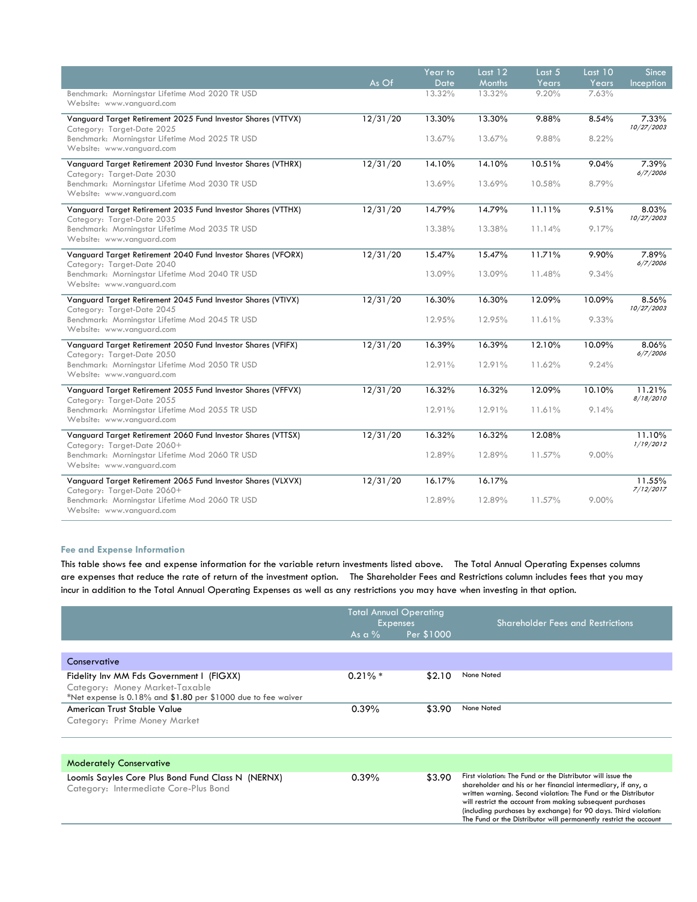|                                                                                             |          | Year to     | Last 12 | Last $5$ | Last $10$ | Since               |
|---------------------------------------------------------------------------------------------|----------|-------------|---------|----------|-----------|---------------------|
|                                                                                             | As Of    | <b>Date</b> | Months  | Years    | Years     | Inception           |
| Benchmark: Morningstar Lifetime Mod 2020 TR USD<br>Website: www.vanquard.com                |          | 13.32%      | 13.32%  | 9.20%    | 7.63%     |                     |
| Vanguard Target Retirement 2025 Fund Investor Shares (VTTVX)<br>Category: Target-Date 2025  | 12/31/20 | 13.30%      | 13.30%  | 9.88%    | 8.54%     | 7.33%<br>10/27/2003 |
| Benchmark: Morningstar Lifetime Mod 2025 TR USD<br>Website: www.vanguard.com                |          | 13.67%      | 13.67%  | 9.88%    | 8.22%     |                     |
| Vanguard Target Retirement 2030 Fund Investor Shares (VTHRX)<br>Category: Target-Date 2030  | 12/31/20 | 14.10%      | 14.10%  | 10.51%   | 9.04%     | 7.39%<br>6/7/2006   |
| Benchmark: Morningstar Lifetime Mod 2030 TR USD<br>Website: www.vanguard.com                |          | 13.69%      | 13.69%  | 10.58%   | 8.79%     |                     |
| Vanguard Target Retirement 2035 Fund Investor Shares (VTTHX)<br>Category: Target-Date 2035  | 12/31/20 | 14.79%      | 14.79%  | 11.11%   | 9.51%     | 8.03%<br>10/27/2003 |
| Benchmark: Morningstar Lifetime Mod 2035 TR USD<br>Website: www.vanquard.com                |          | 13.38%      | 13.38%  | 11.14%   | 9.17%     |                     |
| Vanguard Target Retirement 2040 Fund Investor Shares (VFORX)<br>Category: Target-Date 2040  | 12/31/20 | 15.47%      | 15.47%  | 11.71%   | 9.90%     | 7.89%<br>6/7/2006   |
| Benchmark: Morningstar Lifetime Mod 2040 TR USD<br>Website: www.vanguard.com                |          | 13.09%      | 13.09%  | 11.48%   | 9.34%     |                     |
| Vanguard Target Retirement 2045 Fund Investor Shares (VTIVX)<br>Category: Target-Date 2045  | 12/31/20 | 16.30%      | 16.30%  | 12.09%   | 10.09%    | 8.56%<br>10/27/2003 |
| Benchmark: Morningstar Lifetime Mod 2045 TR USD<br>Website: www.vanguard.com                |          | 12.95%      | 12.95%  | 11.61%   | 9.33%     |                     |
| Vanguard Target Retirement 2050 Fund Investor Shares (VFIFX)<br>Category: Target-Date 2050  | 12/31/20 | 16.39%      | 16.39%  | 12.10%   | 10.09%    | 8.06%<br>6/7/2006   |
| Benchmark: Morningstar Lifetime Mod 2050 TR USD<br>Website: www.vanquard.com                |          | 12.91%      | 12.91%  | 11.62%   | 9.24%     |                     |
| Vanguard Target Retirement 2055 Fund Investor Shares (VFFVX)<br>Category: Target-Date 2055  | 12/31/20 | 16.32%      | 16.32%  | 12.09%   | 10.10%    | 11.21%<br>8/18/2010 |
| Benchmark: Morningstar Lifetime Mod 2055 TR USD<br>Website: www.vanguard.com                |          | 12.91%      | 12.91%  | 11.61%   | 9.14%     |                     |
| Vanguard Target Retirement 2060 Fund Investor Shares (VTTSX)<br>Category: Target-Date 2060+ | 12/31/20 | 16.32%      | 16.32%  | 12.08%   |           | 11.10%<br>1/19/2012 |
| Benchmark: Morningstar Lifetime Mod 2060 TR USD<br>Website: www.vanguard.com                |          | 12.89%      | 12.89%  | 11.57%   | 9.00%     |                     |
| Vanguard Target Retirement 2065 Fund Investor Shares (VLXVX)<br>Category: Target-Date 2060+ | 12/31/20 | 16.17%      | 16.17%  |          |           | 11.55%<br>7/12/2017 |
| Benchmark: Morningstar Lifetime Mod 2060 TR USD<br>Website: www.vanquard.com                |          | 12.89%      | 12.89%  | 11.57%   | $9.00\%$  |                     |

## **Fee and Expense Information**

This table shows fee and expense information for the variable return investments listed above. The Total Annual Operating Expenses columns are expenses that reduce the rate of return of the investment option. The Shareholder Fees and Restrictions column includes fees that you may incur in addition to the Total Annual Operating Expenses as well as any restrictions you may have when investing in that option.

|                                                                                                                                                | <b>Total Annual Operating</b><br><b>Expenses</b><br>Per \$1000<br>As a $\%$ |        | <b>Shareholder Fees and Restrictions</b>                                                                                                                                                                                                                                                                                                                                                            |  |
|------------------------------------------------------------------------------------------------------------------------------------------------|-----------------------------------------------------------------------------|--------|-----------------------------------------------------------------------------------------------------------------------------------------------------------------------------------------------------------------------------------------------------------------------------------------------------------------------------------------------------------------------------------------------------|--|
| Conservative                                                                                                                                   |                                                                             |        |                                                                                                                                                                                                                                                                                                                                                                                                     |  |
| Fidelity Inv MM Fds Government I (FIGXX)<br>Category: Money Market-Taxable<br>*Net expense is $0.18\%$ and \$1.80 per \$1000 due to fee waiver | $0.21\% *$                                                                  | \$2.10 | None Noted                                                                                                                                                                                                                                                                                                                                                                                          |  |
| American Trust Stable Value<br>Category: Prime Money Market                                                                                    | 0.39%                                                                       | \$3.90 | None Noted                                                                                                                                                                                                                                                                                                                                                                                          |  |
|                                                                                                                                                |                                                                             |        |                                                                                                                                                                                                                                                                                                                                                                                                     |  |
| <b>Moderately Conservative</b>                                                                                                                 |                                                                             |        |                                                                                                                                                                                                                                                                                                                                                                                                     |  |
| Loomis Sayles Core Plus Bond Fund Class N (NERNX)<br>Category: Intermediate Core-Plus Bond                                                     | 0.39%                                                                       | \$3.90 | First violation: The Fund or the Distributor will issue the<br>shareholder and his or her financial intermediary, if any, a<br>written warning. Second violation: The Fund or the Distributor<br>will restrict the account from making subsequent purchases<br>(including purchases by exchange) for 90 days. Third violation:<br>The Fund or the Distributor will permanently restrict the account |  |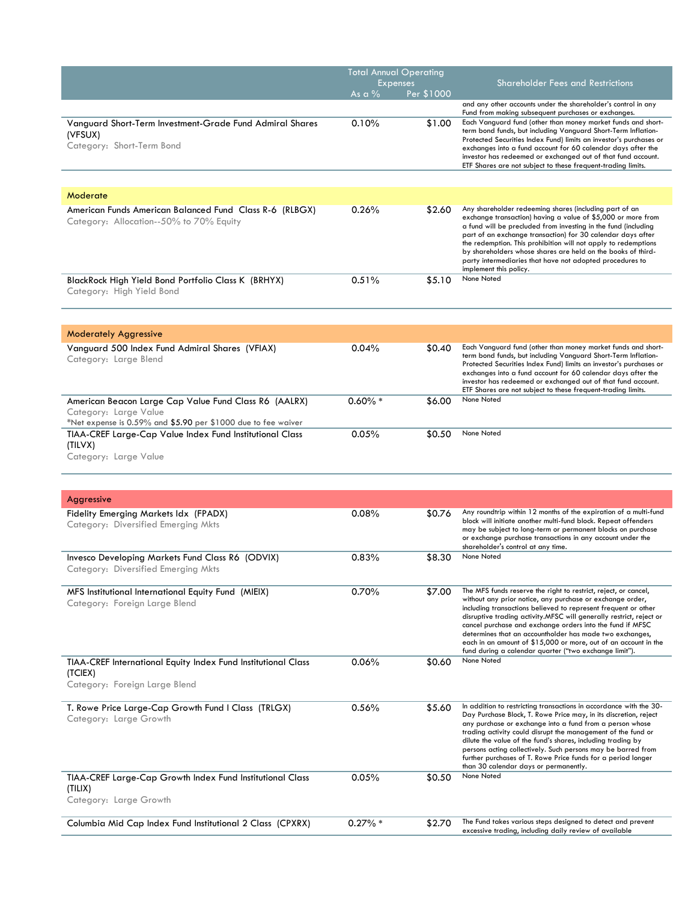|                                                                                                                                                 | <b>Total Annual Operating</b><br><b>Expenses</b> |            | <b>Shareholder Fees and Restrictions</b>                                                                                                                                                                                                                                                                                                                                                                                                                                                                                    |
|-------------------------------------------------------------------------------------------------------------------------------------------------|--------------------------------------------------|------------|-----------------------------------------------------------------------------------------------------------------------------------------------------------------------------------------------------------------------------------------------------------------------------------------------------------------------------------------------------------------------------------------------------------------------------------------------------------------------------------------------------------------------------|
|                                                                                                                                                 | As a $%$                                         | Per \$1000 |                                                                                                                                                                                                                                                                                                                                                                                                                                                                                                                             |
|                                                                                                                                                 |                                                  |            | and any other accounts under the shareholder's control in any<br>Fund from making subsequent purchases or exchanges.                                                                                                                                                                                                                                                                                                                                                                                                        |
| Vanguard Short-Term Investment-Grade Fund Admiral Shares<br>(VFSUX)<br>Category: Short-Term Bond                                                | 0.10%                                            | \$1.00     | Each Vanguard fund (other than money market funds and short-<br>term bond funds, but including Vanguard Short-Term Inflation-<br>Protected Securities Index Fund) limits an investor's purchases or<br>exchanges into a fund account for 60 calendar days after the<br>investor has redeemed or exchanged out of that fund account.<br>ETF Shares are not subject to these frequent-trading limits.                                                                                                                         |
|                                                                                                                                                 |                                                  |            |                                                                                                                                                                                                                                                                                                                                                                                                                                                                                                                             |
| Moderate                                                                                                                                        |                                                  |            |                                                                                                                                                                                                                                                                                                                                                                                                                                                                                                                             |
| American Funds American Balanced Fund Class R-6 (RLBGX)<br>Category: Allocation--50% to 70% Equity                                              | 0.26%                                            | \$2.60     | Any shareholder redeeming shares (including part of an<br>exchange transaction) having a value of \$5,000 or more from<br>a fund will be precluded from investing in the fund (including<br>part of an exchange transaction) for 30 calendar days after<br>the redemption. This prohibition will not apply to redemptions<br>by shareholders whose shares are held on the books of third-<br>party intermediaries that have not adopted procedures to<br>implement this policy.                                             |
| BlackRock High Yield Bond Portfolio Class K (BRHYX)<br>Category: High Yield Bond                                                                | 0.51%                                            | \$5.10     | None Noted                                                                                                                                                                                                                                                                                                                                                                                                                                                                                                                  |
|                                                                                                                                                 |                                                  |            |                                                                                                                                                                                                                                                                                                                                                                                                                                                                                                                             |
| <b>Moderately Aggressive</b>                                                                                                                    |                                                  |            | Each Vanguard fund (other than money market funds and short-                                                                                                                                                                                                                                                                                                                                                                                                                                                                |
| Vanguard 500 Index Fund Admiral Shares (VFIAX)<br>Category: Large Blend                                                                         | 0.04%                                            | \$0.40     | term bond funds, but including Vanguard Short-Term Inflation-<br>Protected Securities Index Fund) limits an investor's purchases or<br>exchanges into a fund account for 60 calendar days after the<br>investor has redeemed or exchanged out of that fund account.<br>ETF Shares are not subject to these frequent-trading limits.                                                                                                                                                                                         |
| American Beacon Large Cap Value Fund Class R6 (AALRX)<br>Category: Large Value<br>*Net expense is 0.59% and \$5.90 per \$1000 due to fee waiver | $0.60\% *$                                       | \$6.00     | None Noted                                                                                                                                                                                                                                                                                                                                                                                                                                                                                                                  |
| TIAA-CREF Large-Cap Value Index Fund Institutional Class<br>(TILVX)<br>Category: Large Value                                                    | 0.05%                                            | \$0.50     | None Noted                                                                                                                                                                                                                                                                                                                                                                                                                                                                                                                  |
|                                                                                                                                                 |                                                  |            |                                                                                                                                                                                                                                                                                                                                                                                                                                                                                                                             |
| Aggressive                                                                                                                                      |                                                  |            |                                                                                                                                                                                                                                                                                                                                                                                                                                                                                                                             |
| Fidelity Emerging Markets Idx (FPADX)<br>Category: Diversified Emerging Mkts                                                                    | 0.08%                                            | \$0.76     | Any roundtrip within 12 months of the expiration of a multi-fund<br>block will initiate another multi-fund block. Repeat offenders<br>may be subject to long-term or permanent blocks on purchase<br>or exchange purchase transactions in any account under the<br>shareholder's control at any time.                                                                                                                                                                                                                       |
| Invesco Developing Markets Fund Class R6 (ODVIX)<br>Category: Diversified Emerging Mkts                                                         | 0.83%                                            | \$8.30     | None Noted                                                                                                                                                                                                                                                                                                                                                                                                                                                                                                                  |
| MFS Institutional International Equity Fund (MIEIX)<br>Category: Foreign Large Blend                                                            | 0.70%                                            | \$7.00     | The MFS funds reserve the right to restrict, reject, or cancel,<br>without any prior notice, any purchase or exchange order,<br>including transactions believed to represent frequent or other<br>disruptive trading activity.MFSC will generally restrict, reject or<br>cancel purchase and exchange orders into the fund if MFSC<br>determines that an accountholder has made two exchanges,<br>each in an amount of \$15,000 or more, out of an account in the<br>fund during a calendar quarter ("two exchange limit"). |
| TIAA-CREF International Equity Index Fund Institutional Class<br>(TCIEX)<br>Category: Foreign Large Blend                                       | 0.06%                                            | \$0.60     | None Noted                                                                                                                                                                                                                                                                                                                                                                                                                                                                                                                  |
| T. Rowe Price Large-Cap Growth Fund I Class (TRLGX)<br>Category: Large Growth                                                                   | 0.56%                                            | \$5.60     | In addition to restricting transactions in accordance with the 30-<br>Day Purchase Block, T. Rowe Price may, in its discretion, reject<br>any purchase or exchange into a fund from a person whose<br>trading activity could disrupt the management of the fund or<br>dilute the value of the fund's shares, including trading by<br>persons acting collectively. Such persons may be barred from<br>further purchases of T. Rowe Price funds for a period longer<br>than 30 calendar days or permanently.                  |
| TIAA-CREF Large-Cap Growth Index Fund Institutional Class<br>(TILIX)<br>Category: Large Growth                                                  | 0.05%                                            | \$0.50     | None Noted                                                                                                                                                                                                                                                                                                                                                                                                                                                                                                                  |
|                                                                                                                                                 |                                                  |            |                                                                                                                                                                                                                                                                                                                                                                                                                                                                                                                             |
| Columbia Mid Cap Index Fund Institutional 2 Class (CPXRX)                                                                                       | $0.27\% *$                                       | \$2.70     | The Fund takes various steps designed to detect and prevent<br>excessive trading, including daily review of available                                                                                                                                                                                                                                                                                                                                                                                                       |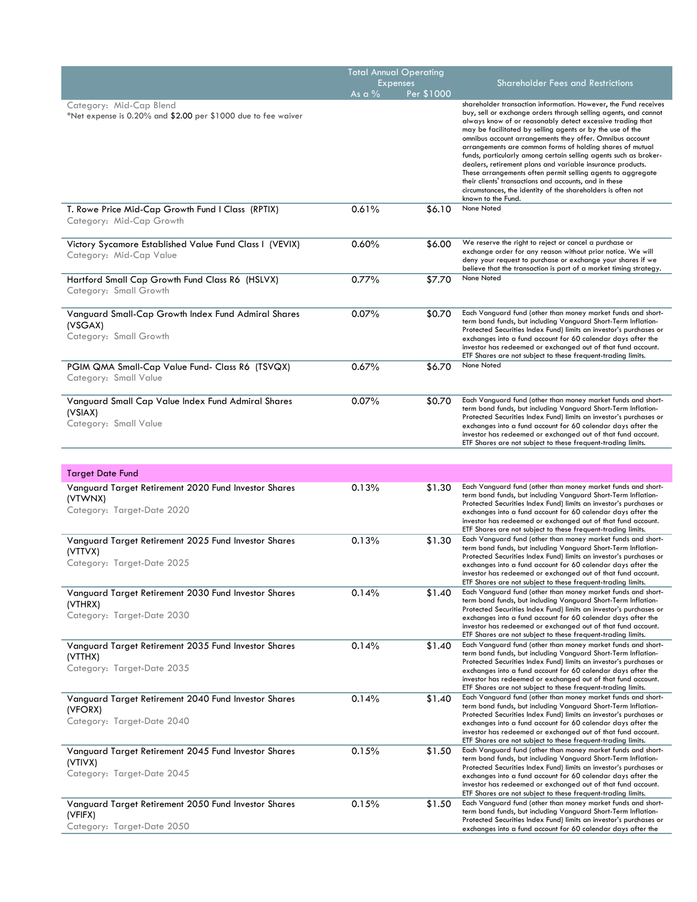|                                                                                               | <b>Total Annual Operating</b> |            |                                                                                                                                                                                                                                                                                                                                                                                    |
|-----------------------------------------------------------------------------------------------|-------------------------------|------------|------------------------------------------------------------------------------------------------------------------------------------------------------------------------------------------------------------------------------------------------------------------------------------------------------------------------------------------------------------------------------------|
|                                                                                               | Expenses                      |            | <b>Shareholder Fees and Restrictions</b>                                                                                                                                                                                                                                                                                                                                           |
| Category: Mid-Cap Blend<br>*Net expense is 0.20% and \$2.00 per \$1000 due to fee waiver      | As a $\%$                     | Per \$1000 | shareholder transaction information. However, the Fund receives<br>buy, sell or exchange orders through selling agents, and cannot                                                                                                                                                                                                                                                 |
|                                                                                               |                               |            | always know of or reasonably detect excessive trading that<br>may be facilitated by selling agents or by the use of the<br>omnibus account arrangements they offer. Omnibus account<br>arrangements are common forms of holding shares of mutual<br>funds, particularly among certain selling agents such as broker-<br>dealers, retirement plans and variable insurance products. |
|                                                                                               |                               |            | These arrangements often permit selling agents to aggregate<br>their clients' transactions and accounts, and in these<br>circumstances, the identity of the shareholders is often not<br>known to the Fund.                                                                                                                                                                        |
| T. Rowe Price Mid-Cap Growth Fund I Class (RPTIX)<br>Category: Mid-Cap Growth                 | 0.61%                         | \$6.10     | None Noted                                                                                                                                                                                                                                                                                                                                                                         |
| Victory Sycamore Established Value Fund Class I (VEVIX)<br>Category: Mid-Cap Value            | 0.60%                         | \$6.00     | We reserve the right to reject or cancel a purchase or<br>exchange order for any reason without prior notice. We will<br>deny your request to purchase or exchange your shares if we<br>believe that the transaction is part of a market timing strategy.                                                                                                                          |
| Hartford Small Cap Growth Fund Class R6 (HSLVX)<br>Category: Small Growth                     | 0.77%                         | \$7.70     | None Noted                                                                                                                                                                                                                                                                                                                                                                         |
| Vanguard Small-Cap Growth Index Fund Admiral Shares                                           | 0.07%                         | \$0.70     | Each Vanguard fund (other than money market funds and short-<br>term bond funds, but including Vanguard Short-Term Inflation-                                                                                                                                                                                                                                                      |
| (VSGAX)<br>Category: Small Growth                                                             |                               |            | Protected Securities Index Fund) limits an investor's purchases or<br>exchanges into a fund account for 60 calendar days after the<br>investor has redeemed or exchanged out of that fund account.<br>ETF Shares are not subject to these frequent-trading limits.                                                                                                                 |
| PGIM QMA Small-Cap Value Fund- Class R6 (TSVQX)                                               | 0.67%                         | \$6.70     | None Noted                                                                                                                                                                                                                                                                                                                                                                         |
| Category: Small Value                                                                         |                               |            |                                                                                                                                                                                                                                                                                                                                                                                    |
| Vanguard Small Cap Value Index Fund Admiral Shares<br>(VSIAX)                                 | 0.07%                         | \$0.70     | Each Vanguard fund (other than money market funds and short-<br>term bond funds, but including Vanguard Short-Term Inflation-                                                                                                                                                                                                                                                      |
| Category: Small Value                                                                         |                               |            | Protected Securities Index Fund) limits an investor's purchases or<br>exchanges into a fund account for 60 calendar days after the<br>investor has redeemed or exchanged out of that fund account.<br>ETF Shares are not subject to these frequent-trading limits.                                                                                                                 |
|                                                                                               |                               |            |                                                                                                                                                                                                                                                                                                                                                                                    |
| <b>Target Date Fund</b>                                                                       |                               |            |                                                                                                                                                                                                                                                                                                                                                                                    |
| Vanguard Target Retirement 2020 Fund Investor Shares                                          | 0.13%                         | \$1.30     | Each Vanguard fund (other than money market funds and short-<br>term bond funds, but including Vanguard Short-Term Inflation-                                                                                                                                                                                                                                                      |
| (VTWNX)<br>Category: Target-Date 2020                                                         |                               |            | Protected Securities Index Fund) limits an investor's purchases or<br>exchanges into a fund account for 60 calendar days after the<br>investor has redeemed or exchanged out of that fund account.<br>ETF Shares are not subject to these frequent-trading limits.                                                                                                                 |
| Vanguard Target Retirement 2025 Fund Investor Shares<br>(VTTVX)                               | 0.13%                         | \$1.30     | Each Vanguard fund (other than money market funds and short-<br>term bond funds, but including Vanguard Short-Term Inflation-                                                                                                                                                                                                                                                      |
| Category: Target-Date 2025                                                                    |                               |            | Protected Securities Index Fund) limits an investor's purchases or<br>exchanges into a fund account for 60 calendar days after the<br>investor has redeemed or exchanged out of that fund account.<br>ETF Shares are not subject to these frequent-trading limits.                                                                                                                 |
| Vanguard Target Retirement 2030 Fund Investor Shares                                          | 0.14%                         | \$1.40     | Each Vanguard fund (other than money market funds and short-<br>term bond funds, but including Vanguard Short-Term Inflation-                                                                                                                                                                                                                                                      |
| (VTHRX)<br>Category: Target-Date 2030                                                         |                               |            | Protected Securities Index Fund) limits an investor's purchases or<br>exchanges into a fund account for 60 calendar days after the<br>investor has redeemed or exchanged out of that fund account.<br>ETF Shares are not subject to these frequent-trading limits.                                                                                                                 |
| Vanguard Target Retirement 2035 Fund Investor Shares<br>(VTTHX)                               | 0.14%                         | \$1.40     | Each Vanguard fund (other than money market funds and short-<br>term bond funds, but including Vanguard Short-Term Inflation-                                                                                                                                                                                                                                                      |
| Category: Target-Date 2035                                                                    |                               |            | Protected Securities Index Fund) limits an investor's purchases or<br>exchanges into a fund account for 60 calendar days after the<br>investor has redeemed or exchanged out of that fund account.<br>ETF Shares are not subject to these frequent-trading limits.                                                                                                                 |
| Vanguard Target Retirement 2040 Fund Investor Shares<br>(VFORX)                               | 0.14%                         | \$1.40     | Each Vanguard fund (other than money market funds and short-<br>term bond funds, but including Vanguard Short-Term Inflation-                                                                                                                                                                                                                                                      |
| Category: Target-Date 2040                                                                    |                               |            | Protected Securities Index Fund) limits an investor's purchases or<br>exchanges into a fund account for 60 calendar days after the<br>investor has redeemed or exchanged out of that fund account.<br>ETF Shares are not subject to these frequent-trading limits.                                                                                                                 |
| Vanguard Target Retirement 2045 Fund Investor Shares<br>(VTIVX)<br>Category: Target-Date 2045 | 0.15%                         | \$1.50     | Each Vanguard fund (other than money market funds and short-<br>term bond funds, but including Vanguard Short-Term Inflation-<br>Protected Securities Index Fund) limits an investor's purchases or<br>exchanges into a fund account for 60 calendar days after the                                                                                                                |
|                                                                                               |                               |            | investor has redeemed or exchanged out of that fund account.<br>ETF Shares are not subject to these frequent-trading limits.                                                                                                                                                                                                                                                       |
| Vanguard Target Retirement 2050 Fund Investor Shares<br>(VFIFX)                               | 0.15%                         | \$1.50     | Each Vanguard fund (other than money market funds and short-<br>term bond funds, but including Vanguard Short-Term Inflation-<br>Protected Securities Index Fund) limits an investor's purchases or                                                                                                                                                                                |
| Category: Target-Date 2050                                                                    |                               |            | exchanges into a fund account for 60 calendar days after the                                                                                                                                                                                                                                                                                                                       |